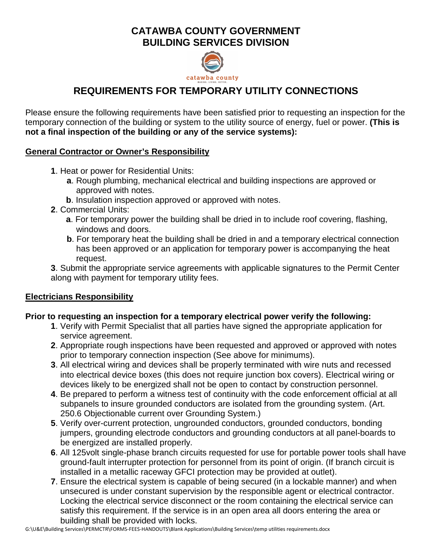# **CATAWBA COUNTY GOVERNMENT BUILDING SERVICES DIVISION**



# **REQUIREMENTS FOR TEMPORARY UTILITY CONNECTIONS**

Please ensure the following requirements have been satisfied prior to requesting an inspection for the temporary connection of the building or system to the utility source of energy, fuel or power. **(This is not a final inspection of the building or any of the service systems):**

### **General Contractor or Owner's Responsibility**

- **1**. Heat or power for Residential Units:
	- **a**. Rough plumbing, mechanical electrical and building inspections are approved or approved with notes.
	- **b**. Insulation inspection approved or approved with notes.
- **2**. Commercial Units:
	- **a**. For temporary power the building shall be dried in to include roof covering, flashing, windows and doors.
	- **b**. For temporary heat the building shall be dried in and a temporary electrical connection has been approved or an application for temporary power is accompanying the heat request.

**3**. Submit the appropriate service agreements with applicable signatures to the Permit Center along with payment for temporary utility fees.

## **Electricians Responsibility**

## **Prior to requesting an inspection for a temporary electrical power verify the following:**

- **1**. Verify with Permit Specialist that all parties have signed the appropriate application for service agreement.
- **2**. Appropriate rough inspections have been requested and approved or approved with notes prior to temporary connection inspection (See above for minimums).
- **3**. All electrical wiring and devices shall be properly terminated with wire nuts and recessed into electrical device boxes (this does not require junction box covers). Electrical wiring or devices likely to be energized shall not be open to contact by construction personnel.
- **4**. Be prepared to perform a witness test of continuity with the code enforcement official at all subpanels to insure grounded conductors are isolated from the grounding system. (Art. 250.6 Objectionable current over Grounding System.)
- **5**. Verify over-current protection, ungrounded conductors, grounded conductors, bonding jumpers, grounding electrode conductors and grounding conductors at all panel-boards to be energized are installed properly.
- **6**. All 125volt single-phase branch circuits requested for use for portable power tools shall have ground-fault interrupter protection for personnel from its point of origin. (If branch circuit is installed in a metallic raceway GFCI protection may be provided at outlet).
- **7**. Ensure the electrical system is capable of being secured (in a lockable manner) and when unsecured is under constant supervision by the responsible agent or electrical contractor. Locking the electrical service disconnect or the room containing the electrical service can satisfy this requirement. If the service is in an open area all doors entering the area or building shall be provided with locks.